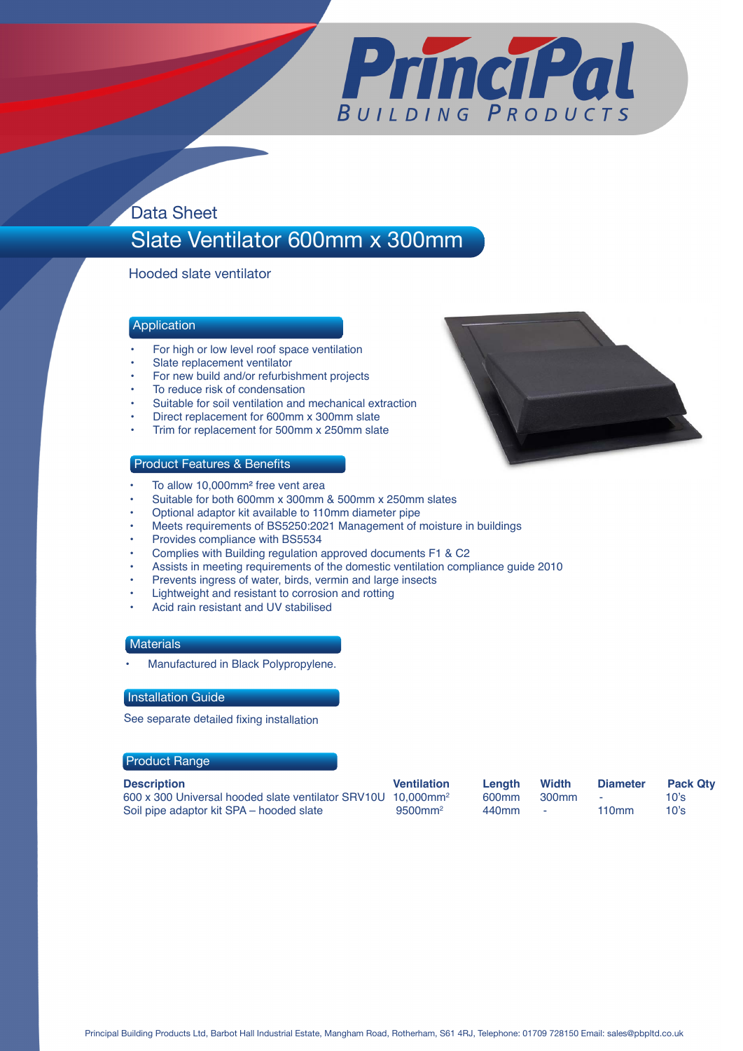

## Data Sheet

# Slate Ventilator 600mm x 300mm

Hooded slate ventilator

### **Application**

- For high or low level roof space ventilation
- Slate replacement ventilator
- For new build and/or refurbishment projects
- To reduce risk of condensation
- Suitable for soil ventilation and mechanical extraction
- Direct replacement for 600mm x 300mm slate
- Trim for replacement for 500mm x 250mm slate

#### Product Features & Benefits

- To allow 10,000mm<sup>2</sup> free vent area
- Suitable for both 600mm x 300mm & 500mm x 250mm slates
- Optional adaptor kit available to 110mm diameter pipe
- Meets requirements of BS5250:2021 Management of moisture in buildings
- Provides compliance with BS5534
- Complies with Building regulation approved documents F1 & C2
- Assists in meeting requirements of the domestic ventilation compliance guide 2010
- Prevents ingress of water, birds, vermin and large insects
- Lightweight and resistant to corrosion and rotting
- Acid rain resistant and UV stabilised

#### **Materials**

• Manufactured in Black Polypropylene.

#### Installation Guide

See separate detailed fixing installation

#### Product Range

| <b>Description</b> |  |  |  |
|--------------------|--|--|--|
|                    |  |  |  |

**Description Ventilation Length Width Diameter Pack Qty**  600 x 300 Universal hooded slate ventilator SRV10U 10,000mm2 600mm 300mm - 10's Soil pipe adaptor kit SPA – hooded slate

| ıth | Width             | <b>Diameter</b> | Ρa |
|-----|-------------------|-----------------|----|
| ٦m  | 300 <sub>mm</sub> | -               | 10 |
| ٦m  | ۰                 | 110mm           | 10 |